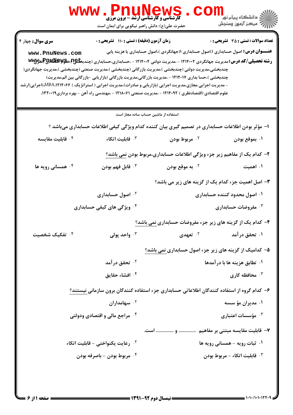|                                                                                                                                                              | <b>www.Pnunews</b><br><b>کارشناسی و کارشناسی ارشد - برون مرزی</b><br>حضرت علی(ع): دانش راهبر نیکویی برای ایمان است |                                                                                                                                                                                                                                                                                                                                                                                                                                                                                                                                                                | ر دانشگاه پيام نور <mark>−</mark><br>ار∕* مرکز آزمون وسنجش |
|--------------------------------------------------------------------------------------------------------------------------------------------------------------|--------------------------------------------------------------------------------------------------------------------|----------------------------------------------------------------------------------------------------------------------------------------------------------------------------------------------------------------------------------------------------------------------------------------------------------------------------------------------------------------------------------------------------------------------------------------------------------------------------------------------------------------------------------------------------------------|------------------------------------------------------------|
| <b>سری سوال :</b> چهار ۴<br>www.PnuNews.com<br>- مدیریت اجرایی مجازی،مدیریت اجرایی (بازاریابی و صادرات)،مدیریت اجرایی ( استراتژیک ) MBA،۱۲۱۴۰۶۶،(اجرایی(ارشد | <b>زمان آزمون (دقیقه) : تستی : ۱۱۰ تشریحی : 0</b>                                                                  | <b>عنــــوان درس:</b> اصول حسابداری ۱،اصول حسابداری ۱(جهانگردی )،اصول حسابداری یا هزینه یابی<br><b>رشته تحصیلی/کد درس:</b> مدیریت جهانگردی ۱۲۱۴۰۰۲ - ،مدیریت دولتی ۱۲۱۴۰۰۴ - ،حسابداری،حسابداری (چندبخ <del>گیم) مگولا)&amp;Q</del> پرکتفا<br>چندبخشی،مدیریت دولتی (چندبخشی )،مدیریت بازرگانی (چندبخشی )،مدیریت صنعتی (چندبخشی )،مدیریت جهانگردی(<br>چندبخشی )،حسا بداری ۱۲۱۴۰۱۷ - ،مدیریت بازرگانی،مدیریت بازرگانی (بازاریابی -بازرگانی بین الم،مدیریت)<br>علوم اقتصادی (اقتصادنظری ) ۱۲۱۴۰۹۲ - ،مدیریت صنعتی ۱۲۱۸۰۶۱ - ،مهندسی راه آهن - بهره برداری۱۳۲۰۰۱۹، | تعداد سوالات : تستى : 35 تشريحي : 0                        |
|                                                                                                                                                              | استفاده از ماشین حساب ساده مجاز است                                                                                |                                                                                                                                                                                                                                                                                                                                                                                                                                                                                                                                                                |                                                            |
|                                                                                                                                                              |                                                                                                                    | ا– مؤثر بودن اطلاعات حسابداری در تصمیم گیری بیان کننده کدام ویژگی کیفی اطلاعات حسابداری میباشد ؟                                                                                                                                                                                                                                                                                                                                                                                                                                                               |                                                            |
| ۰۴ قابلیت مقایسه                                                                                                                                             | ا قابلیت اتکاء $\cdot$                                                                                             | ۰ <sup>۲</sup> مربوط بودن                                                                                                                                                                                                                                                                                                                                                                                                                                                                                                                                      | ۰۱ بموقع بودن                                              |
|                                                                                                                                                              |                                                                                                                    | ۲– کدام یک از مفاهیم زیر جزء ویژگی اطلاعات حسابداری،مربوط بودن نمی باشد؟                                                                                                                                                                                                                                                                                                                                                                                                                                                                                       |                                                            |
| ۰۴ همسانی رویه ها                                                                                                                                            | ا قابل فهم بودن $\cdot$                                                                                            | ۰ <sup>۲</sup> به موقع بودن                                                                                                                                                                                                                                                                                                                                                                                                                                                                                                                                    | ۰۱ اهمیت                                                   |
|                                                                                                                                                              |                                                                                                                    | ۳- اصل اهمیت جزء کدام یک از گزینه های زیر می باشد؟                                                                                                                                                                                                                                                                                                                                                                                                                                                                                                             |                                                            |
|                                                                                                                                                              | ۰ <sup>۲</sup> اصول حسابداری                                                                                       |                                                                                                                                                                                                                                                                                                                                                                                                                                                                                                                                                                | ۰۱ اصول محدود کننده حسابداری                               |
|                                                                                                                                                              | ۰ <sup>۴</sup> ویژگی های کیفی حسابداری                                                                             |                                                                                                                                                                                                                                                                                                                                                                                                                                                                                                                                                                | ۰۳ مفروضات حسابداری                                        |
|                                                                                                                                                              |                                                                                                                    | ۴- کدام یک از گزینه های زیر جزء مفروضات حسابداری <u>نمی</u> باشد؟                                                                                                                                                                                                                                                                                                                                                                                                                                                                                              |                                                            |
| ۰ <sup>۴</sup> تفکیک شخصیت                                                                                                                                   | واحد پولی $\cdot$                                                                                                  | ۰۲ تعهدی                                                                                                                                                                                                                                                                                                                                                                                                                                                                                                                                                       | ۰۱ تحقق در آمد                                             |
|                                                                                                                                                              |                                                                                                                    | ۵– کدامیک از گزینه های زیر جزء اصول حسابداری نمی باشد؟                                                                                                                                                                                                                                                                                                                                                                                                                                                                                                         |                                                            |
|                                                                                                                                                              | ۰۲ تحقق در آمد                                                                                                     |                                                                                                                                                                                                                                                                                                                                                                                                                                                                                                                                                                | ۰۱ تطابق هزینه ها با در آمدها                              |
|                                                                                                                                                              | ۰۴ افشاء حقايق                                                                                                     |                                                                                                                                                                                                                                                                                                                                                                                                                                                                                                                                                                | محافظه کاری $\cdot$ ۳                                      |
|                                                                                                                                                              |                                                                                                                    | ۶– کدام گروه از استفاده کنندگان اطلاعاتی حسابداری جزء استفاده کنندگان برون سازمانی نیستند؟                                                                                                                                                                                                                                                                                                                                                                                                                                                                     |                                                            |
|                                                                                                                                                              | ۰ <sup>۲</sup> سهامداران                                                                                           |                                                                                                                                                                                                                                                                                                                                                                                                                                                                                                                                                                | ۰۱ مدیران مؤ سسه                                           |
|                                                                                                                                                              | ۰۴ مراجع مالی و اقتصادی ودولتی                                                                                     |                                                                                                                                                                                                                                                                                                                                                                                                                                                                                                                                                                | ة مؤسسات اعتبارى $\cdot$                                   |
|                                                                                                                                                              |                                                                                                                    | ۷- قابلیت مقایسه مبتنی بر مفاهیم سسسسس و سسسسساست.                                                                                                                                                                                                                                                                                                                                                                                                                                                                                                             |                                                            |
|                                                                                                                                                              | ۰۲ رعایت یکنواختی - قابلیت اتکاء                                                                                   |                                                                                                                                                                                                                                                                                                                                                                                                                                                                                                                                                                | ۰۱ ثبات رویه - همسانی رویه ها                              |
|                                                                                                                                                              | ۰۴ مربوط بودن - باصرفه بودن                                                                                        |                                                                                                                                                                                                                                                                                                                                                                                                                                                                                                                                                                | ۰۳ قابلیت اتکاء - مربوط بودن                               |
|                                                                                                                                                              |                                                                                                                    |                                                                                                                                                                                                                                                                                                                                                                                                                                                                                                                                                                |                                                            |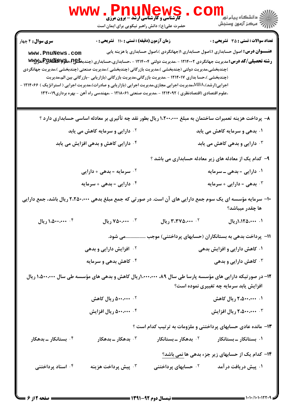|                                              | <b>WWW.FNUNEWS</b><br><b>کارشناسی و کارشناسی ارشد - برون مرزی</b><br>حضرت علی(ع): دانش راهبر نیکویی برای ایمان است                                                                                                                                                                                                                                                                                                                                                                                                                                                                                                                         |                                | ڪ دانشڪاه پيام نور ■<br>// مرکز آزمون وسنجش                                                                                                  |
|----------------------------------------------|--------------------------------------------------------------------------------------------------------------------------------------------------------------------------------------------------------------------------------------------------------------------------------------------------------------------------------------------------------------------------------------------------------------------------------------------------------------------------------------------------------------------------------------------------------------------------------------------------------------------------------------------|--------------------------------|----------------------------------------------------------------------------------------------------------------------------------------------|
| <b>سری سوال : ۴</b> چهار<br>www.PnuNews.com  | <b>زمان آزمون (دقیقه) : تستی : ۱۱۰ تشریحی : 0</b><br><b>رشته تحصیلی/کد درس:</b> مدیریت جهانگردی ۱۲۱۴۰۰۲ - ،مدیریت دولتی ۱۲۱۴۰۰۴ - ،حسابداری،حسابداری (چندب <b>خ<del>لیم) مکوّلا) پ</del>اتوپاپالا</b><br>)چندبخشی،مدیریت دولتی (چندبخشی )،مدیریت بازرگانی (چندبخشی )،مدیریت صنعتی (چندبخشی )،مدیریت جهانگردی<br>(چندبخشی )،حسا بداری ۱۲۱۴۰۱۷ - ،مدیریت بازرگانی،مدیریت بازرگانی (بازاریابی -بازرگانی بین الم،مدیریت<br>اجرایی(ارشد)،MBA،مدیریت اجرایی مجازی،مدیریت اجرایی (بازاریابی و صادرات)،مدیریت اجرایی ( استراتژیک ) ۱۲۱۴۰۶۶ -<br>،علوم اقتصادی (اقتصادنظری ) ۹۲-۱۲۱۴ - ،مدیریت صنعتی ۱۲۱۸۰۶۱ - ،مهندسی راه آهن - بهره برداری۱۳۲۰۰۱۹ |                                | <b>تعداد سوالات : تستي : 35 ٪ تشریحي : 0</b><br><b>عنــــوان درس:</b> اصول حسابداری ۱،اصول حسابداری ۱(جهانگردی )،اصول حسابداری یا هزینه یابی |
|                                              | ۸– پرداخت هزینه تعمیرات ساختمان به مبلغ ۱،۲۰۰،۰۰۰ ریال بطور نقد چه تأثیری بر معادله اساسی حسابداری دارد ؟                                                                                                                                                                                                                                                                                                                                                                                                                                                                                                                                  |                                |                                                                                                                                              |
|                                              | <sup>۲ .</sup> دارایی و سرمایه کاهش می یابد                                                                                                                                                                                                                                                                                                                                                                                                                                                                                                                                                                                                |                                | ۰۱ بدهی و سرمایه کاهش می یابد                                                                                                                |
| <b>گ دارایی کاهش و بدهی افزایش می یابد</b>   |                                                                                                                                                                                                                                                                                                                                                                                                                                                                                                                                                                                                                                            |                                | دارایی و بدهی کاهش می یابد $\cdot$                                                                                                           |
|                                              |                                                                                                                                                                                                                                                                                                                                                                                                                                                                                                                                                                                                                                            |                                | ۹- کدام یک از معادله های زیر معادله حسابداری می باشد ؟                                                                                       |
|                                              | ۰ <sup>۲</sup> سرمایه = بدهی + دارایی                                                                                                                                                                                                                                                                                                                                                                                                                                                                                                                                                                                                      |                                | ۰۱ دارایی = بدهی ــ سرمایه                                                                                                                   |
|                                              | ۰۴ دارایی = بدهی + سرمایه                                                                                                                                                                                                                                                                                                                                                                                                                                                                                                                                                                                                                  |                                | ۰ <sup>۳</sup> بدهی = دارایی + سرمایه                                                                                                        |
|                                              | ۱۰– سرمایه مؤسسه ای یک سوم جمع دارایی های آن است. در صورتی که جمع مبلغ بدهی ۲،۲۵۰،۰۰۰ ریال باشد، جمع دارایی                                                                                                                                                                                                                                                                                                                                                                                                                                                                                                                                |                                | ها چقدر میباشد؟                                                                                                                              |
| ۰۴ منه ۱،۵۰۰،۰۰۰ ريال                        | ۰۳ منه ۷۵۰٬۰۰۰                                                                                                                                                                                                                                                                                                                                                                                                                                                                                                                                                                                                                             | ٢. ٣،٣٧۵،٠٠٠ ريال              | ۰۱. ۱،۱۲۵،۰۰۰ ريال                                                                                                                           |
|                                              |                                                                                                                                                                                                                                                                                                                                                                                                                                                                                                                                                                                                                                            |                                | 1۱– پرداخت بدهی به بستانکاران (حسابهای پرداختنی) موجب  شی شود.                                                                               |
|                                              | ۰۲ افزایش دارایی و بدهی                                                                                                                                                                                                                                                                                                                                                                                                                                                                                                                                                                                                                    |                                | ۰۱ کاهش دارایی و افزایش بدهی                                                                                                                 |
|                                              | ۰۴ کاهش بدهی و سرمایه                                                                                                                                                                                                                                                                                                                                                                                                                                                                                                                                                                                                                      |                                | کاهش دارایی و بدهی $\cdot$                                                                                                                   |
|                                              | ۱۲– در صورتیکه دارایی های مؤسسه پارسا طی سال ۸۹، ۱٬۰۰۰٬۰۰۰ریال کاهش و بدهی های مؤسسه طی سال ۱٬۵۰۰٬۰۰۰ ریال                                                                                                                                                                                                                                                                                                                                                                                                                                                                                                                                 |                                | افزایش یابد سرمایه چه تغییری نموده است؟                                                                                                      |
|                                              | ۰۲ مه.۵۰۰ ریال کاهش                                                                                                                                                                                                                                                                                                                                                                                                                                                                                                                                                                                                                        |                                | ۰۱ ۲،۵۰۰،۰۰۰ ریال کاهش                                                                                                                       |
|                                              | ۰۴ محمده ريال افزايش                                                                                                                                                                                                                                                                                                                                                                                                                                                                                                                                                                                                                       |                                | ۰۳ محمد ۲،۵۰۰ ریال افزایش                                                                                                                    |
|                                              |                                                                                                                                                                                                                                                                                                                                                                                                                                                                                                                                                                                                                                            |                                | ۱۳- مانده عادی حسابهای پرداختنی و ملزومات به ترتیب کدام است ؟                                                                                |
| ستانکار ــ بدهکار $\cdot$ به $\cdot$ $\cdot$ | بدهکار ــ بدهکار $\cdot^{\texttt{w}}$                                                                                                                                                                                                                                                                                                                                                                                                                                                                                                                                                                                                      | بدهکار ــ بستانکار $\cdot$ ۲   | ۰۱ بستانکار ــ بستانکار                                                                                                                      |
| ۰۴ اسناد پرداختنی                            | ۰ <sup>۳</sup> پیش پرداخت هزینه                                                                                                                                                                                                                                                                                                                                                                                                                                                                                                                                                                                                            | <sup>۲.</sup> حسابهای پرداختنی | ۱۴- کدام یک از حسابهای زیر جزء بدهی ها نمی باشد؟<br>۰۱ پیش دریافت در آمد                                                                     |
|                                              |                                                                                                                                                                                                                                                                                                                                                                                                                                                                                                                                                                                                                                            |                                |                                                                                                                                              |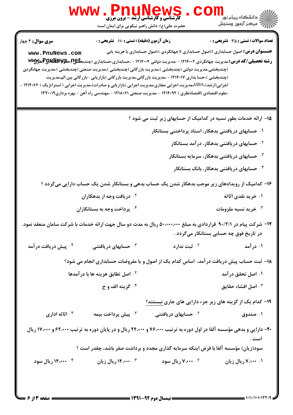|                                             | <b>www.PnuNews</b><br><b>کارشناسی و کارشناسی ارشد - برون مرزی</b><br>حضرت علی(ع): دانش راهبر نیکویی برای ایمان است                                                                                                                                                                                                                                                                                                                                                                                                                                                                                                               |                                                                                                                        | ر دانشڪاه پيام نور<br>ا∛ مرکز آزمون وسنڊش                                                                                                                            |
|---------------------------------------------|----------------------------------------------------------------------------------------------------------------------------------------------------------------------------------------------------------------------------------------------------------------------------------------------------------------------------------------------------------------------------------------------------------------------------------------------------------------------------------------------------------------------------------------------------------------------------------------------------------------------------------|------------------------------------------------------------------------------------------------------------------------|----------------------------------------------------------------------------------------------------------------------------------------------------------------------|
| <b>سری سوال :</b> ۴ چهار<br>www.PnuNews.com | <b>زمان آزمون (دقیقه) : تستی : ۱۱۰ تشریحی : 0</b><br><b>رشته تحصیلی/کد درس:</b> مدیریت جهانگردی ۱۲۱۴۰۰۲ - ،مدیریت دولتی ۱۲۱۴۰۰۴ - ،حسابداری،حسابداری (چندبخ <del>گیم)،مکوّ&amp;Pیهلاپ</del><br>)چندبخشی،مدیریت دولتی (چندبخشی )،مدیریت بازرگانی (چندبخشی )،مدیریت صنعتی (چندبخشی )،مدیریت جهانگردی<br>(چندبخشی )،حسا بداری ۱۲۱۴۰۱۷ - ،مدیریت بازرگانی،مدیریت بازرگانی (بازاریابی -بازرگانی بین الم،مدیریت<br>اجرایی(ارشد)،MBA،مدیریت اجرایی مجازی،مدیریت اجرایی (بازاریابی و صادرات)،مدیریت اجرایی ( استراتژیک ) ۱۲۱۴۰۶۶ –<br>،علوم اقتصادی (اقتصادنظری ) ۱۲۱۴۰۹۲ - ،مدیریت صنعتی ۱۲۱۸۰۶۱ - ،مهندسی راه آهن - بهره برداری۱۳۲۰۰۱۹ | <b>عنـــوان درس:</b> اصول حسابداری ۱،اصول حسابداری ۱(جهانگردی )،اصول حسابداری یا هزینه یابی                            | <b>تعداد سوالات : تستي : 35 ٪ تشریحي : 0</b>                                                                                                                         |
|                                             |                                                                                                                                                                                                                                                                                                                                                                                                                                                                                                                                                                                                                                  | ۱۵– ارائه خدمات بطور نسیه در کدامیک از حسابهای زیر ثبت می شود ؟<br>۰۱ حسابهای دریافتنی بدهکار، اسناد پرداختنی بستانکار | <sup>۲ .</sup> حسابهای در یافتنی بدهکار، در آمد بستانکار<br>خسابهای دریافتنی بدهکار، سرمایه بستانکار $\cdot$<br><sup>۰۴</sup> حسابهای دریافتنی بدهکار، بانک بستانکار |
|                                             | ۱۶– کدامیک از رویدادهای زیر موجب بدهکار شدن یک حساب بدهی و بستانکار شدن یک حساب دارایی میگردد ؟<br>۰ <sup>۲</sup> دریافت وجه از بدهکاران<br>۰ <sup>۴</sup> پرداخت وجه به بستانکاران                                                                                                                                                                                                                                                                                                                                                                                                                                              |                                                                                                                        | ۰۱ خرید نقدی اثاثه<br>خريد نسيه ملزومات $\cdot^{\mathsf{v}}$                                                                                                         |
| ۰ <sup>۴</sup> پیش دریافت در آمد            | ۱۷– شرکت پیام در ۹۰/۲/۱ قراردادی به مبلغ ۵۰٬۰۰۰٬۰۰۰ ریال به مدت دو سال جهت ارائه خدمات با شرکت سامان منعقد نمود.<br>خسابهای دریافتنی $\cdot^{\texttt{w}}$                                                                                                                                                                                                                                                                                                                                                                                                                                                                        | ۰ <sup>۲</sup> ثبت ندارد                                                                                               | در تاریخ فوق چه حسابی بستانکار میگردد .<br>۰۱ در آمد                                                                                                                 |
|                                             | 18- ثبت حساب پیش دریافت در آمد،  اساس کدام یک از اصول و یا مفروضات حسابداری انجام می شود؟<br><sup>۲</sup> ۰ اصل تطابق هزینه ها با درآمدها<br>۰۴ گزينه الف و ج                                                                                                                                                                                                                                                                                                                                                                                                                                                                    |                                                                                                                        | ۰۱ اصل تحقق در آمد<br>اصل افشاء حقايق $\cdot$ "                                                                                                                      |
| ۰۴ اثاثه اداری                              | ۰۳ پیش پرداخت بیمه<br>-۲- دارایی و بدهی مؤسسه آلفا در اول دوره به ترتیب ۷۶،۰۰۰ و ۲۴،۰۰۰ ریال و در پایان دوره به ترتیب ۶۲،۰۰۰ و ۱۷،۰۰۰ ریال                                                                                                                                                                                                                                                                                                                                                                                                                                                                                       | ۱۹- کدام یک از گزینه های زیر جزء دارایی های جاری نیستند؟<br><sup>۲</sup> ۰ حسابهای دریافتنی                            | ۰۱ صندوق<br>است .                                                                                                                                                    |
| ۰۴ ۱۴،۰۰۰ ریال سود                          | سود(زیان) مؤسسه آلفا با فرض اینکه سرمایه گذاری مجدد و برداشت صفر باشد، چقدر است ؟<br>۰۳ ۲۰۰۰ ریال زیان                                                                                                                                                                                                                                                                                                                                                                                                                                                                                                                           | ۰۲ ۲۰۰۰ ریال سود                                                                                                       | ۰۱. ۷،۰۰۰ ریال زیان                                                                                                                                                  |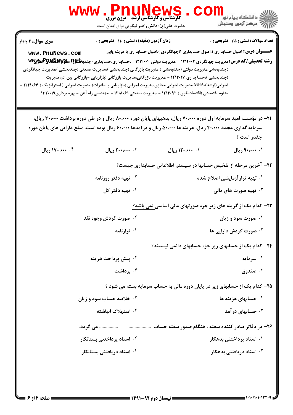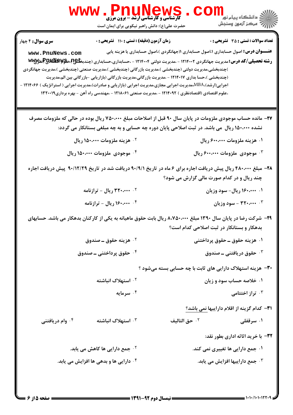| WWW.PnuMews<br>حضرت علی(ع): دانش راهبر نیکویی برای ایمان است                                                                                                                                                                                                                                                                                                                                                                                                                                                                                                                                     | راري دانشگاه پيام نور<br>الله عرکز آزمون وسنجش                                                                                              |
|--------------------------------------------------------------------------------------------------------------------------------------------------------------------------------------------------------------------------------------------------------------------------------------------------------------------------------------------------------------------------------------------------------------------------------------------------------------------------------------------------------------------------------------------------------------------------------------------------|---------------------------------------------------------------------------------------------------------------------------------------------|
| زمان آزمون (دقیقه) : تستی : ۱۱۰٪ تشریحی : ۰<br><b>سری سوال :</b> ۴ چهار                                                                                                                                                                                                                                                                                                                                                                                                                                                                                                                          | <b>تعداد سوالات : تستی : 35 ٪ تشریحی : 0</b><br><b>عنـــوان درس:</b> اصول حسابداری ۱،اصول حسابداری ۱(جهانگردی )،اصول حسابداری یا هزینه یابی |
| www.PnuNews.com<br><b>رشته تحصیلی/کد درس:</b> مدیریت جهانگردی ۱۲۱۴۰۰۲ - ،مدیریت دولتی ۱۲۱۴۰۰۴ - ،حسابداری،حسابداری (چندب <b>خگیج).مگولاپالگاپاتپال</b><br>.<br>)چندبخشی،مدیریت دولتی (چندبخشی )،مدیریت بازرگانی (چندبخشی )،مدیریت صنعتی (چندبخشی )،مدیریت جهانگردی<br>(چندبخشی )،حسا بداری ۱۲۱۴۰۱۷ - ،مدیریت بازرگانی،مدیریت بازرگانی (بازاریابی -بازرگانی بین الم،مدیریت<br>اجرایی(ارشد)،MBA،مدیریت اجرایی مجازی،مدیریت اجرایی (بازاریابی و صادرات)،مدیریت اجرایی ( استراتژیک ) ۱۲۱۴۰۶۶ -<br>،علوم اقتصادی (اقتصادنظری ) ۱۲۱۴۰۹۲ - ،مدیریت صنعتی ۱۲۱۸۰۶۱ - ،مهندسی راه آهن - بهره برداری۱۳۲۰۰۱۹ |                                                                                                                                             |
| ۲۷– مانده حساب موجودی ملزومات در پایان سال ۹۰ قبل از اصلاحات مبلغ ۷۵۰،۰۰۰ ریال بوده در حالی که ملزومات مصرف                                                                                                                                                                                                                                                                                                                                                                                                                                                                                      | نشده ۱۵۰٬۰۰۰ ریال  می باشد. در ثبت اصلاحی پایان دوره چه حسابی و به چه مبلغی بستانکار می گردد:                                               |
| <sup>۲.</sup> هزینه ملزومات <b>۱۵۰،۰۰۰</b> ریال                                                                                                                                                                                                                                                                                                                                                                                                                                                                                                                                                  | ۰۱ هزینه ملزومات ۶۰۰٬۰۰۰ ریال                                                                                                               |
| ۰۴ موجودی ملزومات ۱۵۰،۰۰۰ ریال                                                                                                                                                                                                                                                                                                                                                                                                                                                                                                                                                                   | ۰۳ موجودی ملزومات ۶۰۰٬۰۰۰ ریال                                                                                                              |
| ۲۸- مبلغ ۴۸۰،۰۰۰ ریال پیش دریافت اجاره برای ۶ ماه در تاریخ ۹۰/۹/۱ دریافت شد در تاریخ ۹۰/۱۲/۲۹ پیش دریافت اجاره                                                                                                                                                                                                                                                                                                                                                                                                                                                                                   | چند ریال و در کدام صورت مالی گزارش می شود؟                                                                                                  |
| ۰۲ <b>۲۰۰۰۰۰۰۰</b> ریال – ترازنامه                                                                                                                                                                                                                                                                                                                                                                                                                                                                                                                                                               | ۰۱ -۰۰،۰۰۰ ریال- سود وزیان                                                                                                                  |
| ۰۴ مه.۱۶۰ ريال - ترازنامه                                                                                                                                                                                                                                                                                                                                                                                                                                                                                                                                                                        | ۰۳ - ۳۲۰،۰۰۰ - سود وزیان                                                                                                                    |
| ۲۹- شرکت رضا در پایان سال ۱۳۹۰ مبلغ ۸،۷۵۰،۰۰۰ ریال بابت حقوق ماهیانه به یکی از کارکنان بدهکار می باشد. حسابهای                                                                                                                                                                                                                                                                                                                                                                                                                                                                                   | بدهکار و بستانکار در ثبت اصلاحی کدام است؟                                                                                                   |
| ۰ <sup>۲</sup> هزينه حقوق ــ صندوق                                                                                                                                                                                                                                                                                                                                                                                                                                                                                                                                                               | ۰۱ هزینه حقوق ــ حقوق پرداختنی                                                                                                              |
| ۰ <sup>۴</sup> حقوق پرداختنی ــ صندوق                                                                                                                                                                                                                                                                                                                                                                                                                                                                                                                                                            | خقوق دريافتنى ــ صندوق * ·                                                                                                                  |
|                                                                                                                                                                                                                                                                                                                                                                                                                                                                                                                                                                                                  | <b>۳۰</b> - هزینه استهلاک دارایی های ثابت با چه حسابی بسته میشود ؟                                                                          |
| ۰ <sup>۲</sup> استهلاک انباشته                                                                                                                                                                                                                                                                                                                                                                                                                                                                                                                                                                   | ۰۱ خلاصه حساب سود و زیان                                                                                                                    |
| ۰۴ سرمایه                                                                                                                                                                                                                                                                                                                                                                                                                                                                                                                                                                                        | ۰۳ تراز اختتامی                                                                                                                             |
|                                                                                                                                                                                                                                                                                                                                                                                                                                                                                                                                                                                                  | <b>۳۱</b> – کدام گزینه از اقلام داراییها <u>نمی</u> باشد؟                                                                                   |
| ۰ <sup>۴</sup> وام دریافتنی<br>استهلاک انباشته $\cdot^{\mathsf{v}}$                                                                                                                                                                                                                                                                                                                                                                                                                                                                                                                              | <sup>٢</sup> ٠ حق التاليف<br>۰۱ سرقفلی                                                                                                      |
|                                                                                                                                                                                                                                                                                                                                                                                                                                                                                                                                                                                                  | ٣٢- با خريد اثاثه اداري بطور نقد:                                                                                                           |
| <sup>۲ .</sup> جمع دارایی ها کاهش می یابد.                                                                                                                                                                                                                                                                                                                                                                                                                                                                                                                                                       | ۰۱ جمع دارایی ها تغییری نمی کند.                                                                                                            |
| <b>۴ دارایی ها و بدهی ها افزایش می یابد.</b>                                                                                                                                                                                                                                                                                                                                                                                                                                                                                                                                                     | ه جمع داراییها افزایش می یابد. $\cdot$                                                                                                      |